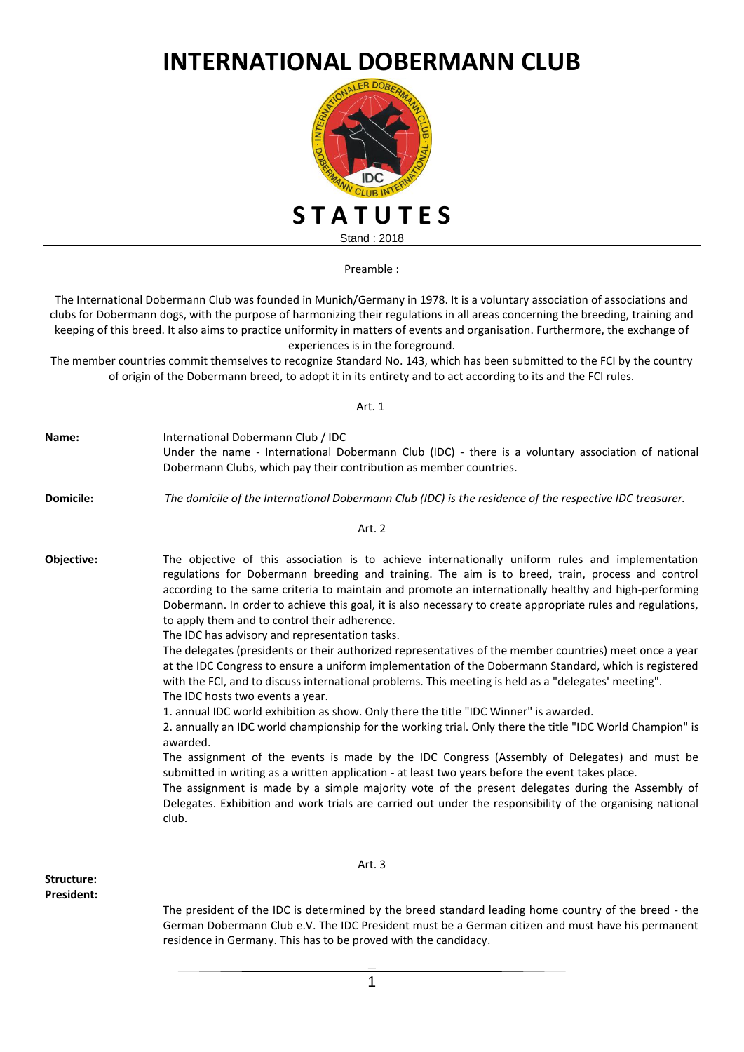## **INTERNATIONAL DOBERMANN CLUB**



Preamble :

The International Dobermann Club was founded in Munich/Germany in 1978. It is a voluntary association of associations and clubs for Dobermann dogs, with the purpose of harmonizing their regulations in all areas concerning the breeding, training and keeping of this breed. It also aims to practice uniformity in matters of events and organisation. Furthermore, the exchange of experiences is in the foreground.

The member countries commit themselves to recognize Standard No. 143, which has been submitted to the FCI by the country of origin of the Dobermann breed, to adopt it in its entirety and to act according to its and the FCI rules.

Art. 1

| Name:             | International Dobermann Club / IDC<br>Under the name - International Dobermann Club (IDC) - there is a voluntary association of national<br>Dobermann Clubs, which pay their contribution as member countries.                                                                                                                                                                                                                                                                                                                                                                                                                                                                                                                                                                                                                                                                                                                                                                                                                                                                                                                                                                                                                                                                                                                                                                                                                                                                                                                                  |
|-------------------|-------------------------------------------------------------------------------------------------------------------------------------------------------------------------------------------------------------------------------------------------------------------------------------------------------------------------------------------------------------------------------------------------------------------------------------------------------------------------------------------------------------------------------------------------------------------------------------------------------------------------------------------------------------------------------------------------------------------------------------------------------------------------------------------------------------------------------------------------------------------------------------------------------------------------------------------------------------------------------------------------------------------------------------------------------------------------------------------------------------------------------------------------------------------------------------------------------------------------------------------------------------------------------------------------------------------------------------------------------------------------------------------------------------------------------------------------------------------------------------------------------------------------------------------------|
| <b>Domicile:</b>  | The domicile of the International Dobermann Club (IDC) is the residence of the respective IDC treasurer.                                                                                                                                                                                                                                                                                                                                                                                                                                                                                                                                                                                                                                                                                                                                                                                                                                                                                                                                                                                                                                                                                                                                                                                                                                                                                                                                                                                                                                        |
|                   | Art. 2                                                                                                                                                                                                                                                                                                                                                                                                                                                                                                                                                                                                                                                                                                                                                                                                                                                                                                                                                                                                                                                                                                                                                                                                                                                                                                                                                                                                                                                                                                                                          |
| Objective:        | The objective of this association is to achieve internationally uniform rules and implementation<br>regulations for Dobermann breeding and training. The aim is to breed, train, process and control<br>according to the same criteria to maintain and promote an internationally healthy and high-performing<br>Dobermann. In order to achieve this goal, it is also necessary to create appropriate rules and regulations,<br>to apply them and to control their adherence.<br>The IDC has advisory and representation tasks.<br>The delegates (presidents or their authorized representatives of the member countries) meet once a year<br>at the IDC Congress to ensure a uniform implementation of the Dobermann Standard, which is registered<br>with the FCI, and to discuss international problems. This meeting is held as a "delegates' meeting".<br>The IDC hosts two events a year.<br>1. annual IDC world exhibition as show. Only there the title "IDC Winner" is awarded.<br>2. annually an IDC world championship for the working trial. Only there the title "IDC World Champion" is<br>awarded.<br>The assignment of the events is made by the IDC Congress (Assembly of Delegates) and must be<br>submitted in writing as a written application - at least two years before the event takes place.<br>The assignment is made by a simple majority vote of the present delegates during the Assembly of<br>Delegates. Exhibition and work trials are carried out under the responsibility of the organising national<br>club. |
| Structure:        | Art. 3                                                                                                                                                                                                                                                                                                                                                                                                                                                                                                                                                                                                                                                                                                                                                                                                                                                                                                                                                                                                                                                                                                                                                                                                                                                                                                                                                                                                                                                                                                                                          |
| <b>President:</b> | The president of the IDC is determined by the breed standard leading home country of the breed - the                                                                                                                                                                                                                                                                                                                                                                                                                                                                                                                                                                                                                                                                                                                                                                                                                                                                                                                                                                                                                                                                                                                                                                                                                                                                                                                                                                                                                                            |

The president of the IDC is determined by the breed standard leading home country of the breed - the German Dobermann Club e.V. The IDC President must be a German citizen and must have his permanent residence in Germany. This has to be proved with the candidacy.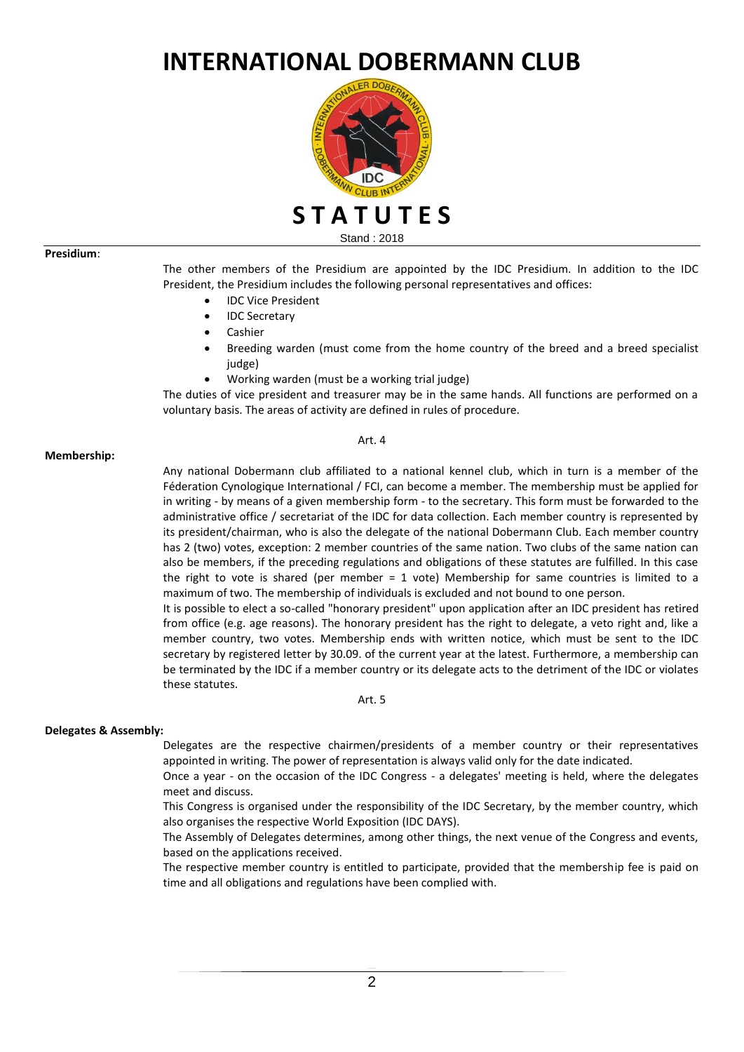# **INTERNATIONAL DOBERMANN CLUB**



Stand : 2018

### **Presidium**:

The other members of the Presidium are appointed by the IDC Presidium. In addition to the IDC President, the Presidium includes the following personal representatives and offices:

- IDC Vice President
- IDC Secretary
- Cashier
- Breeding warden (must come from the home country of the breed and a breed specialist judge)
- Working warden (must be a working trial judge)

The duties of vice president and treasurer may be in the same hands. All functions are performed on a voluntary basis. The areas of activity are defined in rules of procedure.

Art. 4

### **Membership:**

Any national Dobermann club affiliated to a national kennel club, which in turn is a member of the Féderation Cynologique International / FCI, can become a member. The membership must be applied for in writing - by means of a given membership form - to the secretary. This form must be forwarded to the administrative office / secretariat of the IDC for data collection. Each member country is represented by its president/chairman, who is also the delegate of the national Dobermann Club. Each member country has 2 (two) votes, exception: 2 member countries of the same nation. Two clubs of the same nation can also be members, if the preceding regulations and obligations of these statutes are fulfilled. In this case the right to vote is shared (per member = 1 vote) Membership for same countries is limited to a maximum of two. The membership of individuals is excluded and not bound to one person.

It is possible to elect a so-called "honorary president" upon application after an IDC president has retired from office (e.g. age reasons). The honorary president has the right to delegate, a veto right and, like a member country, two votes. Membership ends with written notice, which must be sent to the IDC secretary by registered letter by 30.09. of the current year at the latest. Furthermore, a membership can be terminated by the IDC if a member country or its delegate acts to the detriment of the IDC or violates these statutes.

#### Art. 5

#### **Delegates & Assembly:**

Delegates are the respective chairmen/presidents of a member country or their representatives appointed in writing. The power of representation is always valid only for the date indicated.

Once a year - on the occasion of the IDC Congress - a delegates' meeting is held, where the delegates meet and discuss.

This Congress is organised under the responsibility of the IDC Secretary, by the member country, which also organises the respective World Exposition (IDC DAYS).

The Assembly of Delegates determines, among other things, the next venue of the Congress and events, based on the applications received.

The respective member country is entitled to participate, provided that the membership fee is paid on time and all obligations and regulations have been complied with.